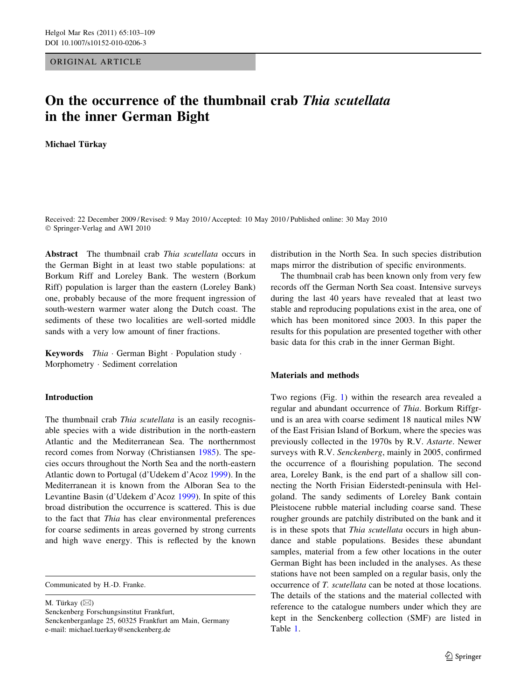ORIGINAL ARTICLE

# On the occurrence of the thumbnail crab Thia scutellata in the inner German Bight

Michael Türkay

Received: 22 December 2009 / Revised: 9 May 2010 / Accepted: 10 May 2010 / Published online: 30 May 2010 © Springer-Verlag and AWI 2010

Abstract The thumbnail crab Thia scutellata occurs in the German Bight in at least two stable populations: at Borkum Riff and Loreley Bank. The western (Borkum Riff) population is larger than the eastern (Loreley Bank) one, probably because of the more frequent ingression of south-western warmer water along the Dutch coast. The sediments of these two localities are well-sorted middle sands with a very low amount of finer fractions.

Keywords Thia · German Bight · Population study · Morphometry - Sediment correlation

# Introduction

The thumbnail crab Thia scutellata is an easily recognisable species with a wide distribution in the north-eastern Atlantic and the Mediterranean Sea. The northernmost record comes from Norway (Christiansen [1985](#page-6-0)). The species occurs throughout the North Sea and the north-eastern Atlantic down to Portugal (d'Udekem d'Acoz [1999\)](#page-6-0). In the Mediterranean it is known from the Alboran Sea to the Levantine Basin (d'Udekem d'Acoz [1999](#page-6-0)). In spite of this broad distribution the occurrence is scattered. This is due to the fact that Thia has clear environmental preferences for coarse sediments in areas governed by strong currents and high wave energy. This is reflected by the known

Communicated by H.-D. Franke.

M. Türkay  $(\boxtimes)$ Senckenberg Forschungsinstitut Frankfurt, Senckenberganlage 25, 60325 Frankfurt am Main, Germany e-mail: michael.tuerkay@senckenberg.de

distribution in the North Sea. In such species distribution maps mirror the distribution of specific environments.

The thumbnail crab has been known only from very few records off the German North Sea coast. Intensive surveys during the last 40 years have revealed that at least two stable and reproducing populations exist in the area, one of which has been monitored since 2003. In this paper the results for this population are presented together with other basic data for this crab in the inner German Bight.

### Materials and methods

Two regions (Fig. [1\)](#page-1-0) within the research area revealed a regular and abundant occurrence of Thia. Borkum Riffgrund is an area with coarse sediment 18 nautical miles NW of the East Frisian Island of Borkum, where the species was previously collected in the 1970s by R.V. Astarte. Newer surveys with R.V. Senckenberg, mainly in 2005, confirmed the occurrence of a flourishing population. The second area, Loreley Bank, is the end part of a shallow sill connecting the North Frisian Eiderstedt-peninsula with Helgoland. The sandy sediments of Loreley Bank contain Pleistocene rubble material including coarse sand. These rougher grounds are patchily distributed on the bank and it is in these spots that Thia scutellata occurs in high abundance and stable populations. Besides these abundant samples, material from a few other locations in the outer German Bight has been included in the analyses. As these stations have not been sampled on a regular basis, only the occurrence of T. scutellata can be noted at those locations. The details of the stations and the material collected with reference to the catalogue numbers under which they are kept in the Senckenberg collection (SMF) are listed in Table [1](#page-2-0).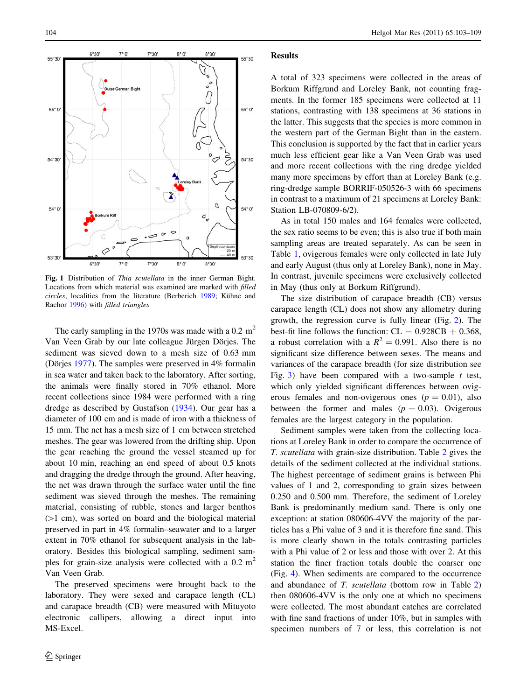<span id="page-1-0"></span>

Fig. 1 Distribution of Thia scutellata in the inner German Bight. Locations from which material was examined are marked with filled circles, localities from the literature (Berberich [1989](#page-6-0); Kühne and Rachor [1996](#page-6-0)) with filled triangles

The early sampling in the 1970s was made with a 0.2  $m<sup>2</sup>$ Van Veen Grab by our late colleague Jürgen Dörjes. The sediment was sieved down to a mesh size of 0.63 mm (Dörjes [1977\)](#page-6-0). The samples were preserved in  $4\%$  formalin in sea water and taken back to the laboratory. After sorting, the animals were finally stored in 70% ethanol. More recent collections since 1984 were performed with a ring dredge as described by Gustafson ([1934\)](#page-6-0). Our gear has a diameter of 100 cm and is made of iron with a thickness of 15 mm. The net has a mesh size of 1 cm between stretched meshes. The gear was lowered from the drifting ship. Upon the gear reaching the ground the vessel steamed up for about 10 min, reaching an end speed of about 0.5 knots and dragging the dredge through the ground. After heaving, the net was drawn through the surface water until the fine sediment was sieved through the meshes. The remaining material, consisting of rubble, stones and larger benthos  $(1 cm)$ , was sorted on board and the biological material preserved in part in 4% formalin–seawater and to a larger extent in 70% ethanol for subsequent analysis in the laboratory. Besides this biological sampling, sediment samples for grain-size analysis were collected with a  $0.2 \text{ m}^2$ Van Veen Grab.

The preserved specimens were brought back to the laboratory. They were sexed and carapace length (CL) and carapace breadth (CB) were measured with Mituyoto electronic callipers, allowing a direct input into MS-Excel.

#### Results

A total of 323 specimens were collected in the areas of Borkum Riffgrund and Loreley Bank, not counting fragments. In the former 185 specimens were collected at 11 stations, contrasting with 138 specimens at 36 stations in the latter. This suggests that the species is more common in the western part of the German Bight than in the eastern. This conclusion is supported by the fact that in earlier years much less efficient gear like a Van Veen Grab was used and more recent collections with the ring dredge yielded many more specimens by effort than at Loreley Bank (e.g. ring-dredge sample BORRIF-050526-3 with 66 specimens in contrast to a maximum of 21 specimens at Loreley Bank: Station LB-070809-6/2).

As in total 150 males and 164 females were collected, the sex ratio seems to be even; this is also true if both main sampling areas are treated separately. As can be seen in Table [1](#page-2-0), ovigerous females were only collected in late July and early August (thus only at Loreley Bank), none in May. In contrast, juvenile specimens were exclusively collected in May (thus only at Borkum Riffgrund).

The size distribution of carapace breadth (CB) versus carapace length (CL) does not show any allometry during growth, the regression curve is fully linear (Fig. [2\)](#page-4-0). The best-fit line follows the function:  $CL = 0.928CB + 0.368$ , a robust correlation with a  $R^2 = 0.991$ . Also there is no significant size difference between sexes. The means and variances of the carapace breadth (for size distribution see Fig. [3](#page-4-0)) have been compared with a two-sample  $t$  test, which only yielded significant differences between ovigerous females and non-ovigerous ones  $(p = 0.01)$ , also between the former and males  $(p = 0.03)$ . Ovigerous females are the largest category in the population.

Sediment samples were taken from the collecting locations at Loreley Bank in order to compare the occurrence of T. scutellata with grain-size distribution. Table [2](#page-5-0) gives the details of the sediment collected at the individual stations. The highest percentage of sediment grains is between Phi values of 1 and 2, corresponding to grain sizes between 0.250 and 0.500 mm. Therefore, the sediment of Loreley Bank is predominantly medium sand. There is only one exception: at station 080606-4VV the majority of the particles has a Phi value of 3 and it is therefore fine sand. This is more clearly shown in the totals contrasting particles with a Phi value of 2 or less and those with over 2. At this station the finer fraction totals double the coarser one (Fig. [4\)](#page-4-0). When sediments are compared to the occurrence and abundance of T. scutellata (bottom row in Table [2\)](#page-5-0) then 080606-4VV is the only one at which no specimens were collected. The most abundant catches are correlated with fine sand fractions of under 10%, but in samples with specimen numbers of 7 or less, this correlation is not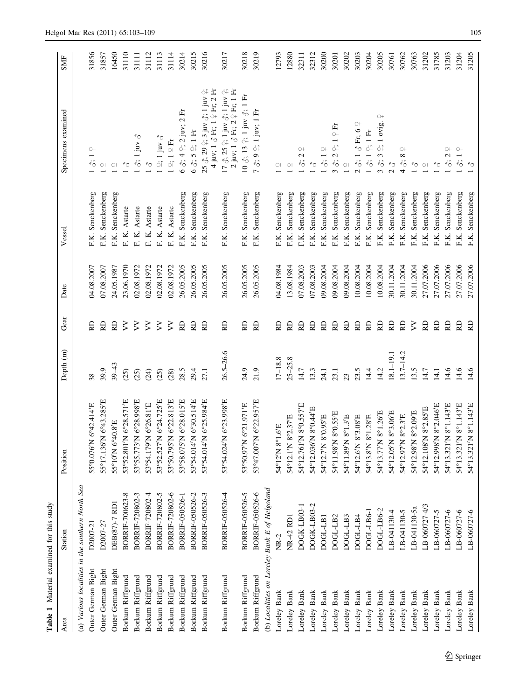<span id="page-2-0"></span>

| Table 1 Material examined for this study         |                        |                                            |               |           |            |                     |                                                                                                                                                                                             |            |
|--------------------------------------------------|------------------------|--------------------------------------------|---------------|-----------|------------|---------------------|---------------------------------------------------------------------------------------------------------------------------------------------------------------------------------------------|------------|
| Area                                             | Station                | Position                                   | Depth (m)     | Gear      | Date       | Vessel              | Specimens examined                                                                                                                                                                          | <b>SMF</b> |
| (a) Various localities in the southern North Sea |                        |                                            |               |           |            |                     |                                                                                                                                                                                             |            |
| Outer German Bight                               | D2007-21               | 6°42.414'E<br>55°0.076'N                   | 38            | RD        | 04.08.2007 | F.K. Senckenberg    | $\circ$<br>$\ddot{\circ}$ .                                                                                                                                                                 | 31856      |
| Outer German Bight                               | D2007-27               | 55°17.136'N 6°43.285'E                     | 39.9          | RD        | 07.08.2007 | F.K. Senckenberg    |                                                                                                                                                                                             | 31857      |
| Outer German Bight                               | DEB(87)-7 RD1          | 55°10'N 6°40.8'E                           | $39 - 43$     | RD        | 24.05.1987 | Senckenberg<br>F.K. | $O+$ $O+$                                                                                                                                                                                   | 16450      |
| Borkum Riffgrund                                 | BORRIF-700623-8        | 53°52.801'N 6°28.571'E                     | (25)          | $\zeta$   | 23.06.1970 | F. K. Astarte       | $\sim$                                                                                                                                                                                      | 31110      |
| Borkum Riffgrund                                 | BORRIF-720802-3        | 53°55.773'N 6°28.998'E                     | (25)          | $\zeta$   | 02.08.1972 | F. K. Astarte       | ↜<br>$\delta$ ; 1 juv                                                                                                                                                                       | 31111      |
| Borkum Riffgrund                                 | BORRIF-720802-4        | 53°54.179'N 6°26.81'E                      | (24)          | $\geq$    | 02.08.1972 | F. K. Astarte       | $\kappa_{\rm O}$                                                                                                                                                                            | 31112      |
| Borkum Riffgrund                                 | BORRIF-720802-5        | 53°52.527'N 6°24.725'E                     | (25)          | $\geq$    | 02.08.1972 | F. K. Astarte       | $\div$ 1 juv $\vec{\circ}$                                                                                                                                                                  | 31113      |
| Borkum Riffgrund                                 | BORRIF-720802-6        | 6°22.813'E<br>53°50.795'N                  | (28)          | $\geq$    | 02.08.1972 | F. K. Astarte       | $1 \nbrace 1 \nbrace 1 \nbrace Fr$                                                                                                                                                          | 31114      |
| Borkum Riffgrund                                 | <b>BORRIF-050526-1</b> | 53°58.075'N 6°28.015'E                     | 28.5          | RD        | 26.05.2005 | F.K. Senckenberg    | 6 $3:42:2$ juv; 2 Fr                                                                                                                                                                        | 30214      |
| Borkum Riffgrund                                 | BORRIF-050526-2        | 6°30.514'E<br>53°54.014'N                  | 29.4          | 6         | 26.05.2005 | Senckenberg<br>F.K. | $63, 52, 1$ Fr                                                                                                                                                                              | 30215      |
| Borkum Riffgrund                                 | BORRIF-050526-3        | 53°54.014'N 6°25.984'E                     | 27.1          | 6         | 26.05.2005 | Senckenberg<br>F.K. | 4 juv; $1 \circ$ Fr; $1 \circ$ Fr; $2$ Fr<br>25 ♂; 29 ♀; 3 juv ♂; 1 juv ♀;                                                                                                                  | 30216      |
| Borkum Riffgrund                                 | BORRIF-050526-4        | 53°54.024'N 6°23.998'E                     | $26.5 - 26.6$ | RD        | 26.05.2005 | F.K. Senckenberg    | $17 \frac{3}{5}$ ; $25 \frac{6}{1}$ ; $1 \frac{1}{9}$ uv $\frac{3}{5}$ ; $1 \frac{1}{9}$ uv $\frac{6}{1}$ ;<br>2 $\frac{1}{1}$ uv; $1 \frac{3}{5}$ Fr; $2 \frac{6}{5}$ Fr; $1 \frac{6}{15}$ | 30217      |
| Borkum Riffgrund                                 | BORRIF-050526-5        | 6°21.971'E<br>53°50.97'N                   | 24.9          | RD        | 26.05.2005 | F.K. Senckenberg    | 10 ♂; 13 ♀; 1 juv ♂; 1 Fr                                                                                                                                                                   | 30218      |
| Borkum Riffgrund                                 | BORRIF-050526-6        | 53°47.007'N 6°22.957'E                     | 21.9          | RD        | 26.05.2005 | F.K. Senckenberg    | ♂; 9 ♀; 1 juv; 1 Fr<br>$\overline{C}$                                                                                                                                                       | 30219      |
| (b) Localities on Loreley Bank E of Helgoland    |                        |                                            |               |           |            |                     |                                                                                                                                                                                             |            |
| Loreley Bank                                     | NR-2                   | 54°12'N 8°1.6'E                            | $17 - 18.8$   | RD        | 04.08.1984 | F.K. Senckenberg    |                                                                                                                                                                                             | 12793      |
| Loreley Bank                                     | NR-42 RD1              | 54°12.1'N 8°2.37'E                         | $25 - 25.8$   | RD        | 13.08.1984 | Senckenberg<br>F.K. |                                                                                                                                                                                             | 12880      |
| Loreley Bank                                     | DOGK-LB03-1            | 54°12.761'N 8°0.557'E                      | 14.7          | <b>Q</b>  | 07.08.2003 | Senckenberg<br>F.K. | $\circlearrowright$<br>$\ddot{\circ}$ : 2                                                                                                                                                   | 32311      |
| Loreley Bank                                     | DOGK-LB03-2            | 54°12.036'N 8°0.44'E                       | 13.3          | <b>Q</b>  | 07.08.2003 | Senckenberg<br>F.K. | $\sim$                                                                                                                                                                                      | 32312      |
| Loreley Bank                                     | DOGL-LB1               | 54°12.7'N 8°0.95'E                         | 24.1          | RD        | 09.08.2004 | Senckenberg<br>F.K. | $\circ$<br>$\ddot{\circ}$                                                                                                                                                                   | 30200      |
| Loreley Bank                                     | DOGL-LB2               | 54°11.98N 8°0.55'E                         | 23.1          | <b>RD</b> | 09.08.2004 | Senckenberg<br>F.K. | 占い<br>$\frac{1}{\circ}$<br>$\ddot{\circ}$ : 2                                                                                                                                               | 30201      |
| Loreley Bank                                     | DOGL-LB3               | 54°11.89N 8°1.3'E                          | 23            | <b>RD</b> | 09.08.2004 | Senckenberg<br>F.K. | $\bigcirc\!+$                                                                                                                                                                               | 30202      |
| Loreley Bank                                     | DOGL-LB4               | 54°12.6'N 8°3.08'E                         | 23.5          | RD        | 10.08.2004 | Senckenberg<br>F.K. | $\circlearrowright$<br>$3:1 \text{ }5$ Fr; 6<br>$\mathcal{L}$                                                                                                                               | 30203      |
| Loreley Bank                                     | DOGL-LB6-1             | 54°13.8'N 8°1.28'E                         | 14.4          | RD        | 10.08.2004 | Senckenberg<br>F.K. | <b>3:19:1Fr</b>                                                                                                                                                                             | 30204      |
| Loreley Bank                                     | DOGL-LB6-2             | 54°13.77'N 8°1.26'E                        | 14.2          | RD        | 10.08.2004 | Senckenberg<br>F.K. | $\circ$<br>$9:1$ ovig.<br>$\ddot{\circ}$ :3                                                                                                                                                 | 30205      |
| Loreley Bank                                     | LB-041130-4            | 8°3.06'E<br>54°12.05'N                     | $18.1 - 19.1$ | RD        | 30.11.2004 | Senckenberg<br>F.K. | $\kappa_{\rm O}$                                                                                                                                                                            | 30761      |
| Loreley Bank                                     | LB-041130-5            | $8^{\circ}2.3'\mathrm{E}$<br>54°12.97'N    | $3.7 - 14.2$  | RD        | 30.11.2004 | Senckenberg<br>F.K. | $\circ$<br>$^{\circ}$<br>$\ddot{\cdot}$                                                                                                                                                     | 30762      |
| Loreley Bank                                     | LB-041130-5a           | $8^{\circ}2.09^{\prime}E$<br>54°12.98'N    | 13.5          | $\gtrsim$ | 30.11.2004 | Senckenberg<br>F.K. | $\sim$                                                                                                                                                                                      | 30763      |
| Loreley Bank                                     | LB-060727-4/3          | 54°12.108'N 8°2.85'E                       | 14.7          | RD        | 27.07.2006 | Senckenberg<br>F.K. | $\bigcirc\!+$                                                                                                                                                                               | 31202      |
| Loreley Bank                                     | LB-060727-5            | 54°12.998'N 8°2.046'E                      | 14.1          | RD.       | 27.07.2006 | Senckenberg<br>F.K. | ↜                                                                                                                                                                                           | 31785      |
| Loreley Bank                                     | LB-060727-6            | 8°1.143'E<br>54°13.321'N                   | 14.6          | RD        | 27.07.2006 | Senckenberg<br>F.K. | $\circ$<br>$\ddot{\circ}$ : 2                                                                                                                                                               | 31203      |
| Loreley Bank                                     | LB-060727-6            | $8^{\circ}1.143'\mathrm{E}$<br>54°13.321'N | 14.6          | RD        | 27.07.2006 | Senckenberg<br>F.K. | $\overrightarrow{\mathrm{o}}$ : 1 $\overrightarrow{\mathrm{o}}$                                                                                                                             | 31204      |
| Loreley Bank                                     | LB-060727-6            | 8°1.143'E<br>54°13.321'N                   | 14.6          | RD        | 27.07.2006 | F.K. Senckenberg    | $\sim$                                                                                                                                                                                      | 31205      |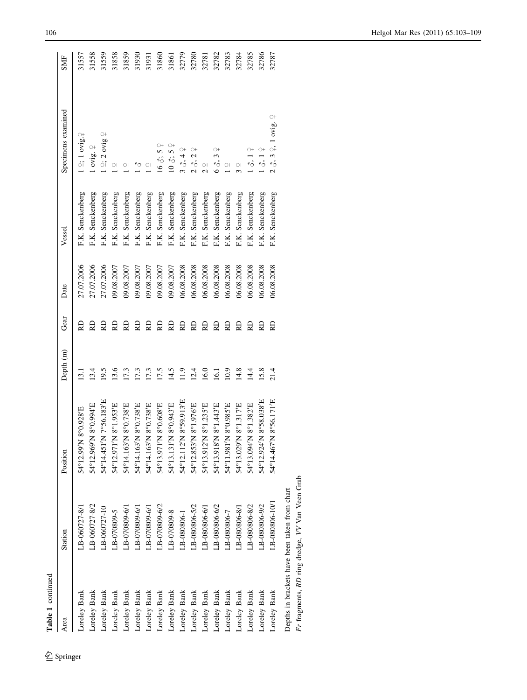| Table 1 continued |                                               |                        |           |      |            |                  |                                                         |            |
|-------------------|-----------------------------------------------|------------------------|-----------|------|------------|------------------|---------------------------------------------------------|------------|
| Area              | Station                                       | Position               | Depth (m) | Gear | Date       | Vessel           | Specimens examined                                      | <b>SMF</b> |
| Loreley Bank      | LB-060727-8/1                                 | 54°12.99'N 8°0.928'E   | 5         | RD   | 27.07.2006 | F.K. Senckenberg | $2:1$ ovig. $2$                                         | 31557      |
| Loreley Bank      | $LB - 060727 - 8/2$                           | 54°12.969'N 8°0.994'E  | 13.4      | RD   | 27.07.2006 | F.K. Senckenberg | ovig. $\frac{\circ}{\cdot}$                             | 31558      |
| Loreley Bank      | $LB - 060727 - 10$                            | 54°14.451'N 7°56.183'E | 19.5      | S    | 27.07.2006 | F.K. Senckenberg | $\circ$<br>$9: 2 \text{ ovig}$                          | 31559      |
| Loreley Bank      | $LB - 070809 - 5$                             | 54°12.971'N 8°1.953'E  | 13.6      | RD   | 09.08.2007 | F.K. Senckenberg | $\bigcirc\!+$                                           | 31858      |
| Loreley Bank      | $-B-070809-6/1$                               | 54°14.163'N 8°0.738'E  | 17.3      | RD   | 09.08.2007 | F.K. Senckenberg | $\circ$                                                 | 31859      |
| Loreley Bank      | LB-070809-6/1                                 | 54°14.163'N 8°0.738'E  | 17.3      | RD   | 09.08.2007 | F.K. Senckenberg | $\sim$                                                  | 31930      |
| Loreley Bank      | $L = 070809 - 611$                            | 54°14.163'N 8°0.738'E  | 17.3      | RD   | 09.08.2007 | F.K. Senckenberg |                                                         | 31931      |
| Loreley Bank      | LB-070809-6/2                                 | 54°13.971'N 8°0.608'E  | 17.5      | RD   | 09.08.2007 | F.K. Senckenberg | 163.57                                                  | 31860      |
| Loreley Bank      | $LB - 070809 - 8$                             | 54°13.131'N 8°0.943'E  | 14.5      | RD   | 09.08.2007 | F.K. Senckenberg | $10 \, \delta$ ; 5 $\Omega$                             | 31861      |
| Loreley Bank      | $-B-080806-1$                                 | 54°12.112'N 8°59.913'E | 11.9      | RD   | 06.08.2008 | F.K. Senckenberg | $3\delta, 4\frac{\circ}{4}$                             | 32779      |
| Loreley Bank      | LB-080806-5/2                                 | 54°12.853'N 8°1.976'E  | 12.4      | RD   | 06.08.2008 | F.K. Senckenberg | δ, 2                                                    | 32780      |
| Loreley Bank      | $-B-080806-6/1$                               | 54°13.912'N 8°1.235'E  | 16.0      | RD   | 06.08.2008 | F.K. Senckenberg |                                                         | 32781      |
| Loreley Bank      | LB-080806-6/2                                 | 54°13.918'N 8°1.443'E  | 16.1      | RD   | 06.08.2008 | F.K. Senckenberg | $\frac{1}{2}$                                           | 32782      |
| Loreley Bank      | LB-080806-7                                   | 54°11.981'N 8°0.985'E  | 10.9      | RD   | 06.08.2008 | F.K. Senckenberg |                                                         | 32783      |
| Loreley Bank      | $L$ B-080806-8/1                              | 54°13.029'N 8°1.317'E  | 14.8      | RD   | 06.08.2008 | F.K. Senckenberg |                                                         | 32784      |
| Loreley Bank      | LB-080806-8/2                                 | 54°13.094'N 8°1.382'E  | 14.4      | RD   | 06.08.2008 | F.K. Senckenberg | $\frac{1}{\sqrt{2}}$                                    | 32785      |
| Loreley Bank      | LB-080806-9/2                                 | 54°12.924'N 8°58.038'E | 15.8      | RD   | 06.08.2008 | F.K. Senckenberg | ۲ô                                                      | 32786      |
| Loreley Bank      | LB-080806-10/1                                | 54°14.467'N 8°56.171'E | 21.4      | RD   | 06.08.2008 | F.K. Senckenberg | $\circ$<br>$2 \delta$ , $3 \Omega$ , $1 \text{ ovig}$ . | 32787      |
|                   | Depths in brackets have been taken from chart |                        |           |      |            |                  |                                                         |            |

Departements, RD ring dredge, VV Van Veen Grab<br>Fr fragments, RD ring dredge, VV Van Veen Grab Fr fragments, RD ring dredge, VV Van Veen Grab

 $\underline{\textcircled{\tiny 2}}$  Springer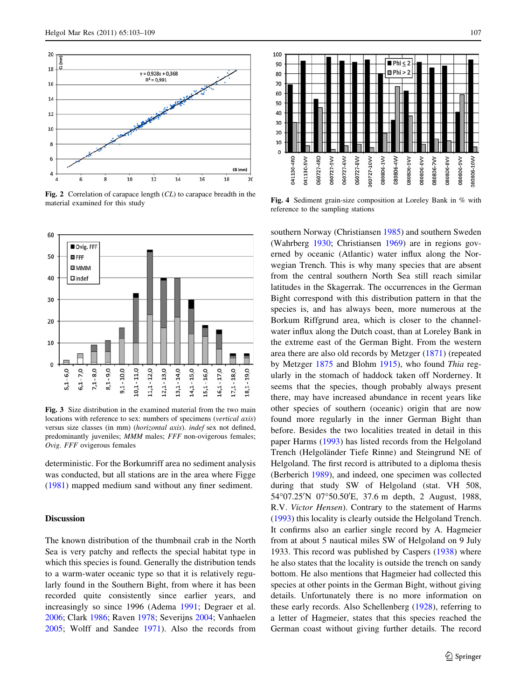<span id="page-4-0"></span>

Fig. 2 Correlation of carapace length (CL) to carapace breadth in the material examined for this study



Fig. 3 Size distribution in the examined material from the two main locations with reference to sex: numbers of specimens (vertical axis) versus size classes (in mm) (horizontal axis). indef sex not defined, predominantly juveniles; MMM males; FFF non-ovigerous females; Ovig. FFF ovigerous females

deterministic. For the Borkumriff area no sediment analysis was conducted, but all stations are in the area where Figge [\(1981](#page-6-0)) mapped medium sand without any finer sediment.

## **Discussion**

The known distribution of the thumbnail crab in the North Sea is very patchy and reflects the special habitat type in which this species is found. Generally the distribution tends to a warm-water oceanic type so that it is relatively regularly found in the Southern Bight, from where it has been recorded quite consistently since earlier years, and increasingly so since 1996 (Adema [1991;](#page-6-0) Degraer et al. [2006;](#page-6-0) Clark [1986](#page-6-0); Raven [1978](#page-6-0); Severijns [2004;](#page-6-0) Vanhaelen [2005;](#page-6-0) Wolff and Sandee [1971](#page-6-0)). Also the records from



Fig. 4 Sediment grain-size composition at Loreley Bank in % with reference to the sampling stations

southern Norway (Christiansen [1985](#page-6-0)) and southern Sweden (Wahrberg [1930;](#page-6-0) Christiansen [1969](#page-6-0)) are in regions governed by oceanic (Atlantic) water influx along the Norwegian Trench. This is why many species that are absent from the central southern North Sea still reach similar latitudes in the Skagerrak. The occurrences in the German Bight correspond with this distribution pattern in that the species is, and has always been, more numerous at the Borkum Riffgrund area, which is closer to the channelwater influx along the Dutch coast, than at Loreley Bank in the extreme east of the German Bight. From the western area there are also old records by Metzger [\(1871\)](#page-6-0) (repeated by Metzger [1875](#page-6-0) and Blohm [1915](#page-6-0)), who found Thia regularly in the stomach of haddock taken off Norderney. It seems that the species, though probably always present there, may have increased abundance in recent years like other species of southern (oceanic) origin that are now found more regularly in the inner German Bight than before. Besides the two localities treated in detail in this paper Harms ([1993](#page-6-0)) has listed records from the Helgoland Trench (Helgoländer Tiefe Rinne) and Steingrund NE of Helgoland. The first record is attributed to a diploma thesis (Berberich [1989](#page-6-0)), and indeed, one specimen was collected during that study SW of Helgoland (stat. VH 508, 54°07.25'N 07°50.50'E, 37.6 m depth, 2 August, 1988, R.V. Victor Hensen). Contrary to the statement of Harms [\(1993](#page-6-0)) this locality is clearly outside the Helgoland Trench. It confirms also an earlier single record by A. Hagmeier from at about 5 nautical miles SW of Helgoland on 9 July 1933. This record was published by Caspers [\(1938](#page-6-0)) where he also states that the locality is outside the trench on sandy bottom. He also mentions that Hagmeier had collected this species at other points in the German Bight, without giving details. Unfortunately there is no more information on these early records. Also Schellenberg [\(1928](#page-6-0)), referring to a letter of Hagmeier, states that this species reached the German coast without giving further details. The record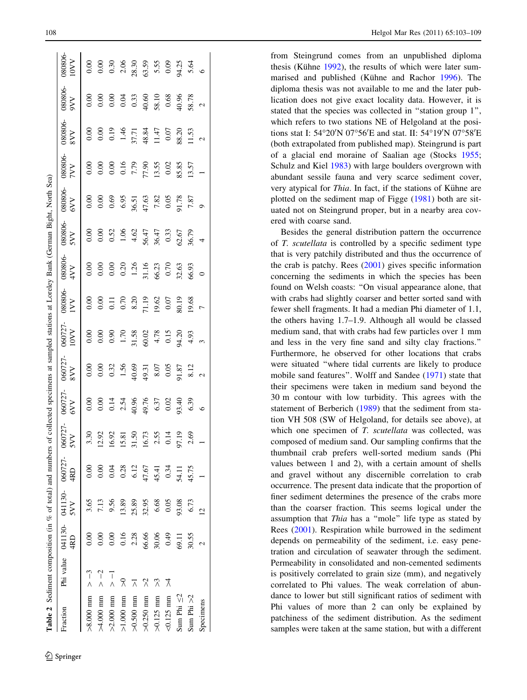<span id="page-5-0"></span>

| <b>Table 2</b> Sediment composition (in $\%$ of total) and numbers of collected specimens at sampled stations at Loreley Bank ( |           |           |                                                                   |       |                  |              |               |                      |              |                |                          | German Bight, North Sea) |                     |              |                      |                      |
|---------------------------------------------------------------------------------------------------------------------------------|-----------|-----------|-------------------------------------------------------------------|-------|------------------|--------------|---------------|----------------------|--------------|----------------|--------------------------|--------------------------|---------------------|--------------|----------------------|----------------------|
| Fraction                                                                                                                        |           | 4RD       | Phi value 041130-041130-060727-060727-<br>4RD 5VV 4RD 5VV 4RD 5VV |       |                  | 60727<br>6VV | 060727<br>8VV | 060727<br><b>LOV</b> | 30806<br>IVV | 30806<br>4VV   | 080806<br>SVV            | 080806-<br>6VV           | 80806<br><b>NVI</b> | 30806<br>8VV | 080806<br><b>NAG</b> | 080806<br><b>NAO</b> |
| $>8.000$ mm $> -3$                                                                                                              |           | $_{0.00}$ | 3.65                                                              |       | 3.30             |              | 0.00          |                      | 0.00         | 0.00           |                          | 0.00                     |                     |              | 0.00                 |                      |
| $\times$ 000 mm                                                                                                                 | $> -2$    | 0.00      | 7.13                                                              | 0.00  | 12.92            | 0.00         | 0.00          | 0.00                 | 0.00         | 0.00           | 0.00                     | 0.00                     | 0.00                | 0.00         | 0.00                 | 0.00                 |
| $>2.000$ mm                                                                                                                     | ヿヽ        | 0.00      | 9.56                                                              | 0.04  | 16.92            | 0.14         | 0.32          | 0.90                 | $\Xi$        | 0.00           | 0.52                     | 0.69                     | 0.00                | 0.19         | 0.00                 | $0.30$<br>$2.06$     |
| $>1.000$ mm                                                                                                                     |           | 0.16      | 13.89                                                             | 0.28  | ಪ                | 2.54         | 1.56          | 1.70                 | 0.70         | 0.20           | 1.06                     | 6.95                     | 0.16                | 1.46         | 0.04                 |                      |
| $>0.500$ mm                                                                                                                     |           | 2.28      | 25.89                                                             | 6.12  | $\overline{50}$  | 40.96        | 40.69         | 31.58                | 8.20         | 1.26           | $4.62$<br>56.47<br>36.47 | 36.51                    | 7.79                | 37.71        | 0.33                 | 28.30                |
| $>0.250$ mm                                                                                                                     | $\lambda$ | 66.66     | 32.95                                                             | 47.67 | 16.73            | 49.76        | 49.31         | 50.02                | 71.19        |                |                          | 47.63                    | 77.90               | 48.84        | 40.60                | 63.59                |
| $>0.125$ mm                                                                                                                     | $\chi$    | 30.06     | 6.68                                                              | 45.41 | 2.55             | 6.37         | 8.07          | 4.78                 | 19.62        | 31.16<br>66.23 |                          | 7.82                     | 13.55               | 11.47        | 58.10                | 5.55<br>0.09         |
| $0.125$ mm                                                                                                                      | X         | 0.49      | 0.05                                                              | 0.34  | 0.14             | 0.02         | 0.05          | 0.15                 | 0.07         | 0.70           | 0.33                     | 0.05                     | 0.02                | 0.07         | 0.68                 |                      |
| Sum Phi $\leq 2$                                                                                                                |           | 69.11     | 93.08                                                             | 54.11 | $\tilde{5}$<br>5 | 93.40        | 91.87         | <b>14.20</b>         | 80.19        | 32.63          | 52.67                    | 91.78                    | 85.85               | 88.20        | 40.96                | 94.25                |
| Sum Phi $>2$                                                                                                                    |           | 30.55     | 6.73                                                              | 45.75 | .69              | 6.39         | 8.12          | 4.93                 | 19.68        | 66.93          | 36.79                    | 7.87                     | 13.57               | 11.53        | 58.78                | 5.64                 |

Sum Phi >2 30.35 6.73 45.75 4.93 4.93 4.93 19.68 66.93 36.79 7.87 13.57 11.53 38.78 5.64 Specimens 2 1 2 1 2 1 2 1 2 2 3 2 2 2 3

8.12

6.39  $\circ$ 

Sum Phi  $>2$ Specimens

 $\overline{a}$ 

 $\sim$ 

 $\sim$ 

5.64

58.78

7.87  $\circ$ 

 $\overline{4}$ 

 $\circ$ 

 $\circ$ 

 $\sim$ 

 $\sim$ 

from Steingrund comes from an unpublished diploma thesis (Kühne [1992\)](#page-6-0), the results of which were later sum-marised and published (Kühne and Rachor [1996](#page-6-0)). The diploma thesis was not available to me and the later publication does not give exact locality data. However, it is stated that the species was collected in ''station group 1'', which refers to two stations NE of Helgoland at the positions stat I: 54°20'N 07°56'E and stat. II: 54°19'N 07°58'E (both extrapolated from published map). Steingrund is part of a glacial end moraine of Saalian age (Stocks [1955](#page-6-0) ; Schulz and Kiel [1983\)](#page-6-0) with large boulders overgrown with abundant sessile fauna and very scarce sediment cover, very atypical for Thia. In fact, if the stations of Kühne are plotted on the sediment map of Figge ([1981\)](#page-6-0) both are situated not on Steingrund proper, but in a nearby area covered with coarse sand.

Besides the general distribution pattern the occurrence of T. scutellata is controlled by a specific sediment type that is very patchily distributed and thus the occurrence of the crab is patchy. Rees ([2001\)](#page-6-0) gives specific information concerning the sediments in which the species has been found on Welsh coasts: ''On visual appearance alone, that with crabs had slightly coarser and better sorted sand with fewer shell fragments. It had a median Phi diameter of 1.1, the others having 1.7–1.9. Although all would be classed medium sand, that with crabs had few particles over 1 mm and less in the very fine sand and silty clay fractions.'' Furthermore, he observed for other locations that crabs were situated ''where tidal currents are likely to produce mobile sand features''. Wolff and Sandee [\(1971](#page-6-0)) state that their specimens were taken in medium sand beyond the 30 m contour with low turbidity. This agrees with the statement of Berberich [\(1989](#page-6-0)) that the sediment from station VH 508 (SW of Helgoland, for details see above), at which one specimen of T. scutellata was collected, was composed of medium sand. Our sampling confirms that the thumbnail crab prefers well-sorted medium sands (Phi values between 1 and 2), with a certain amount of shells and gravel without any discernible correlation to crab occurrence. The present data indicate that the proportion of finer sediment determines the presence of the crabs more than the coarser fraction. This seems logical under the assumption that Thia has a ''mole'' life type as stated by Rees ([2001\)](#page-6-0). Respiration while burrowed in the sediment depends on permeability of the sediment, i.e. easy penetration and circulation of seawater through the sediment. Permeability in consolidated and non-cemented sediments is positively correlated to grain size (mm), and negatively correlated to Phi values. The weak correlation of abundance to lower but still significant ratios of sediment with Phi values of more than 2 can only be explained by patchiness of the sediment distribution. As the sediment samples were taken at the same station, but with a different